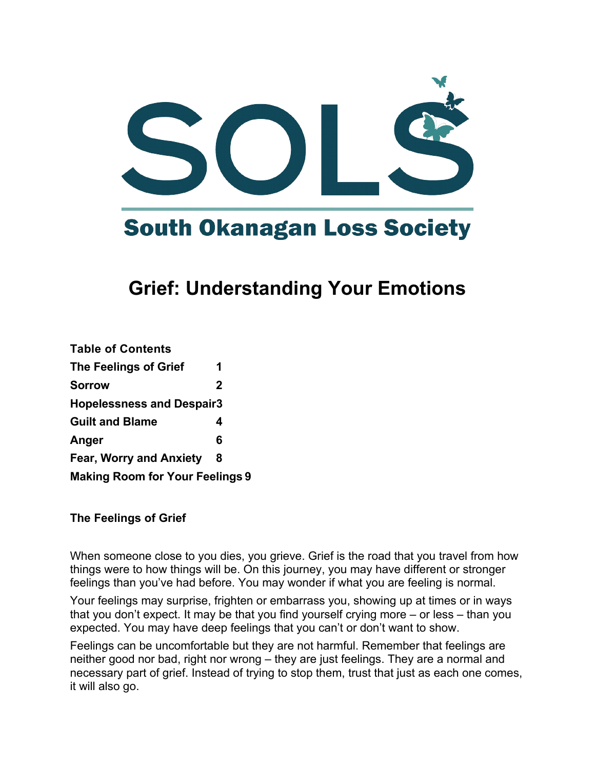

# **South Okanagan Loss Society**

# **Grief: Understanding Your Emotions**

| 1                                      |
|----------------------------------------|
| $\mathbf 2$                            |
| <b>Hopelessness and Despair3</b>       |
| 4                                      |
| 6                                      |
| 8                                      |
| <b>Making Room for Your Feelings 9</b> |
|                                        |

#### **The Feelings of Grief**

When someone close to you dies, you grieve. Grief is the road that you travel from how things were to how things will be. On this journey, you may have different or stronger feelings than you've had before. You may wonder if what you are feeling is normal.

Your feelings may surprise, frighten or embarrass you, showing up at times or in ways that you don't expect. It may be that you find yourself crying more – or less – than you expected. You may have deep feelings that you can't or don't want to show.

Feelings can be uncomfortable but they are not harmful. Remember that feelings are neither good nor bad, right nor wrong – they are just feelings. They are a normal and necessary part of grief. Instead of trying to stop them, trust that just as each one comes, it will also go.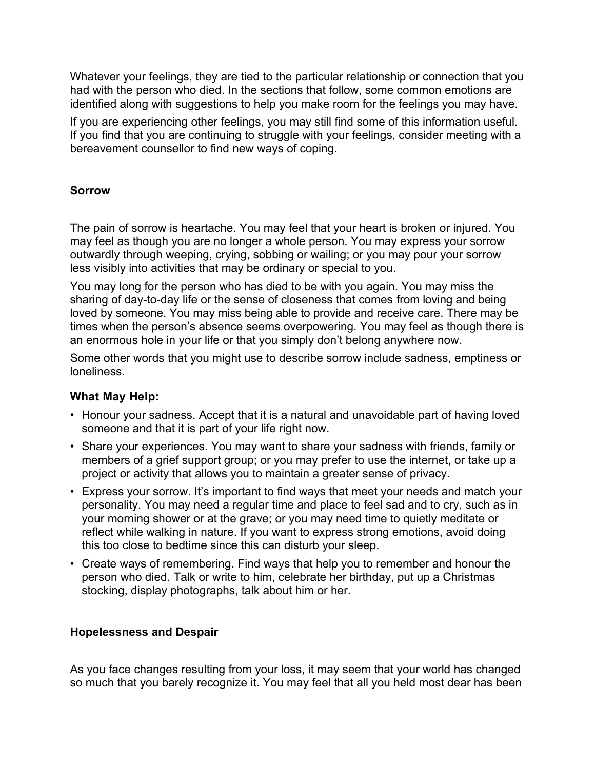Whatever your feelings, they are tied to the particular relationship or connection that you had with the person who died. In the sections that follow, some common emotions are identified along with suggestions to help you make room for the feelings you may have.

If you are experiencing other feelings, you may still find some of this information useful. If you find that you are continuing to struggle with your feelings, consider meeting with a bereavement counsellor to find new ways of coping.

# **Sorrow**

The pain of sorrow is heartache. You may feel that your heart is broken or injured. You may feel as though you are no longer a whole person. You may express your sorrow outwardly through weeping, crying, sobbing or wailing; or you may pour your sorrow less visibly into activities that may be ordinary or special to you.

You may long for the person who has died to be with you again. You may miss the sharing of day-to-day life or the sense of closeness that comes from loving and being loved by someone. You may miss being able to provide and receive care. There may be times when the person's absence seems overpowering. You may feel as though there is an enormous hole in your life or that you simply don't belong anywhere now.

Some other words that you might use to describe sorrow include sadness, emptiness or loneliness.

# **What May Help:**

- Honour your sadness. Accept that it is a natural and unavoidable part of having loved someone and that it is part of your life right now.
- Share your experiences. You may want to share your sadness with friends, family or members of a grief support group; or you may prefer to use the internet, or take up a project or activity that allows you to maintain a greater sense of privacy.
- Express your sorrow. It's important to find ways that meet your needs and match your personality. You may need a regular time and place to feel sad and to cry, such as in your morning shower or at the grave; or you may need time to quietly meditate or reflect while walking in nature. If you want to express strong emotions, avoid doing this too close to bedtime since this can disturb your sleep.
- Create ways of remembering. Find ways that help you to remember and honour the person who died. Talk or write to him, celebrate her birthday, put up a Christmas stocking, display photographs, talk about him or her.

#### **Hopelessness and Despair**

As you face changes resulting from your loss, it may seem that your world has changed so much that you barely recognize it. You may feel that all you held most dear has been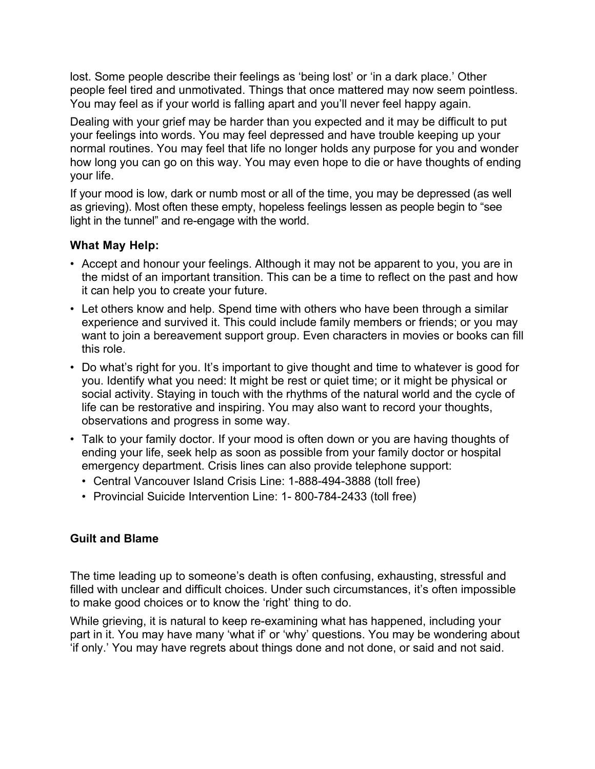lost. Some people describe their feelings as 'being lost' or 'in a dark place.' Other people feel tired and unmotivated. Things that once mattered may now seem pointless. You may feel as if your world is falling apart and you'll never feel happy again.

Dealing with your grief may be harder than you expected and it may be difficult to put your feelings into words. You may feel depressed and have trouble keeping up your normal routines. You may feel that life no longer holds any purpose for you and wonder how long you can go on this way. You may even hope to die or have thoughts of ending your life.

If your mood is low, dark or numb most or all of the time, you may be depressed (as well as grieving). Most often these empty, hopeless feelings lessen as people begin to "see light in the tunnel" and re-engage with the world.

# **What May Help:**

- Accept and honour your feelings. Although it may not be apparent to you, you are in the midst of an important transition. This can be a time to reflect on the past and how it can help you to create your future.
- Let others know and help. Spend time with others who have been through a similar experience and survived it. This could include family members or friends; or you may want to join a bereavement support group. Even characters in movies or books can fill this role.
- Do what's right for you. It's important to give thought and time to whatever is good for you. Identify what you need: It might be rest or quiet time; or it might be physical or social activity. Staying in touch with the rhythms of the natural world and the cycle of life can be restorative and inspiring. You may also want to record your thoughts, observations and progress in some way.
- Talk to your family doctor. If your mood is often down or you are having thoughts of ending your life, seek help as soon as possible from your family doctor or hospital emergency department. Crisis lines can also provide telephone support:
	- Central Vancouver Island Crisis Line: 1-888-494-3888 (toll free)
	- Provincial Suicide Intervention Line: 1- 800-784-2433 (toll free)

# **Guilt and Blame**

The time leading up to someone's death is often confusing, exhausting, stressful and filled with unclear and difficult choices. Under such circumstances, it's often impossible to make good choices or to know the 'right' thing to do.

While grieving, it is natural to keep re-examining what has happened, including your part in it. You may have many 'what if' or 'why' questions. You may be wondering about 'if only.' You may have regrets about things done and not done, or said and not said.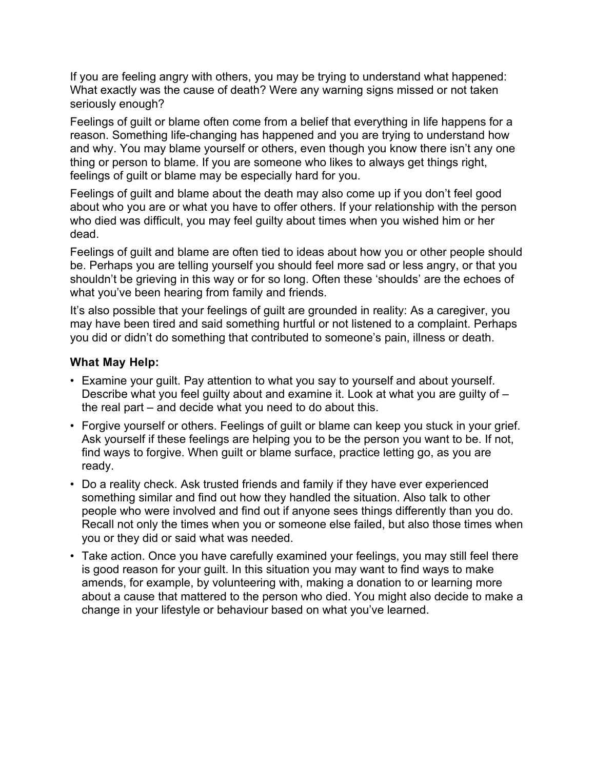If you are feeling angry with others, you may be trying to understand what happened: What exactly was the cause of death? Were any warning signs missed or not taken seriously enough?

Feelings of guilt or blame often come from a belief that everything in life happens for a reason. Something life-changing has happened and you are trying to understand how and why. You may blame yourself or others, even though you know there isn't any one thing or person to blame. If you are someone who likes to always get things right, feelings of guilt or blame may be especially hard for you.

Feelings of guilt and blame about the death may also come up if you don't feel good about who you are or what you have to offer others. If your relationship with the person who died was difficult, you may feel guilty about times when you wished him or her dead.

Feelings of guilt and blame are often tied to ideas about how you or other people should be. Perhaps you are telling yourself you should feel more sad or less angry, or that you shouldn't be grieving in this way or for so long. Often these 'shoulds' are the echoes of what you've been hearing from family and friends.

It's also possible that your feelings of guilt are grounded in reality: As a caregiver, you may have been tired and said something hurtful or not listened to a complaint. Perhaps you did or didn't do something that contributed to someone's pain, illness or death.

# **What May Help:**

- Examine your guilt. Pay attention to what you say to yourself and about yourself. Describe what you feel guilty about and examine it. Look at what you are guilty of – the real part – and decide what you need to do about this.
- Forgive yourself or others. Feelings of guilt or blame can keep you stuck in your grief. Ask yourself if these feelings are helping you to be the person you want to be. If not, find ways to forgive. When guilt or blame surface, practice letting go, as you are ready.
- Do a reality check. Ask trusted friends and family if they have ever experienced something similar and find out how they handled the situation. Also talk to other people who were involved and find out if anyone sees things differently than you do. Recall not only the times when you or someone else failed, but also those times when you or they did or said what was needed.
- Take action. Once you have carefully examined your feelings, you may still feel there is good reason for your guilt. In this situation you may want to find ways to make amends, for example, by volunteering with, making a donation to or learning more about a cause that mattered to the person who died. You might also decide to make a change in your lifestyle or behaviour based on what you've learned.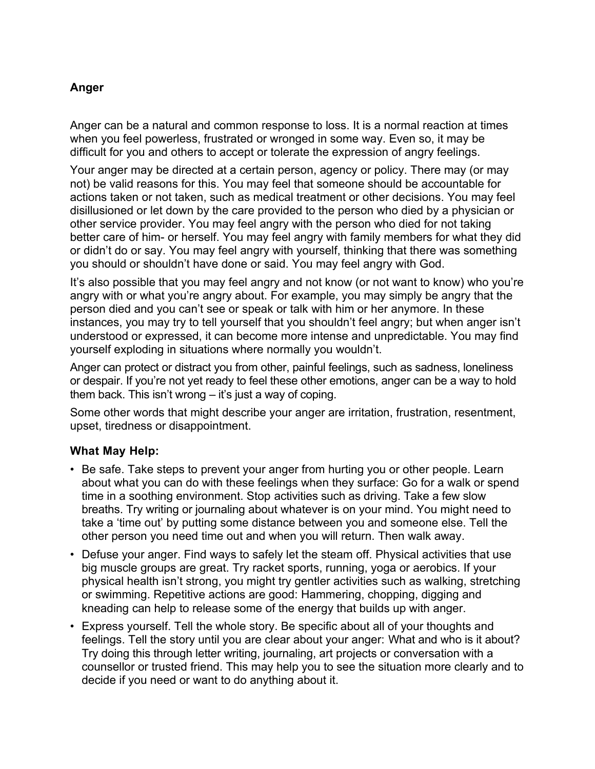# **Anger**

Anger can be a natural and common response to loss. It is a normal reaction at times when you feel powerless, frustrated or wronged in some way. Even so, it may be difficult for you and others to accept or tolerate the expression of angry feelings.

Your anger may be directed at a certain person, agency or policy. There may (or may not) be valid reasons for this. You may feel that someone should be accountable for actions taken or not taken, such as medical treatment or other decisions. You may feel disillusioned or let down by the care provided to the person who died by a physician or other service provider. You may feel angry with the person who died for not taking better care of him- or herself. You may feel angry with family members for what they did or didn't do or say. You may feel angry with yourself, thinking that there was something you should or shouldn't have done or said. You may feel angry with God.

It's also possible that you may feel angry and not know (or not want to know) who you're angry with or what you're angry about. For example, you may simply be angry that the person died and you can't see or speak or talk with him or her anymore. In these instances, you may try to tell yourself that you shouldn't feel angry; but when anger isn't understood or expressed, it can become more intense and unpredictable. You may find yourself exploding in situations where normally you wouldn't.

Anger can protect or distract you from other, painful feelings, such as sadness, loneliness or despair. If you're not yet ready to feel these other emotions, anger can be a way to hold them back. This isn't wrong – it's just a way of coping.

Some other words that might describe your anger are irritation, frustration, resentment, upset, tiredness or disappointment.

#### **What May Help:**

- Be safe. Take steps to prevent your anger from hurting you or other people. Learn about what you can do with these feelings when they surface: Go for a walk or spend time in a soothing environment. Stop activities such as driving. Take a few slow breaths. Try writing or journaling about whatever is on your mind. You might need to take a 'time out' by putting some distance between you and someone else. Tell the other person you need time out and when you will return. Then walk away.
- Defuse your anger. Find ways to safely let the steam off. Physical activities that use big muscle groups are great. Try racket sports, running, yoga or aerobics. If your physical health isn't strong, you might try gentler activities such as walking, stretching or swimming. Repetitive actions are good: Hammering, chopping, digging and kneading can help to release some of the energy that builds up with anger.
- Express yourself. Tell the whole story. Be specific about all of your thoughts and feelings. Tell the story until you are clear about your anger: What and who is it about? Try doing this through letter writing, journaling, art projects or conversation with a counsellor or trusted friend. This may help you to see the situation more clearly and to decide if you need or want to do anything about it.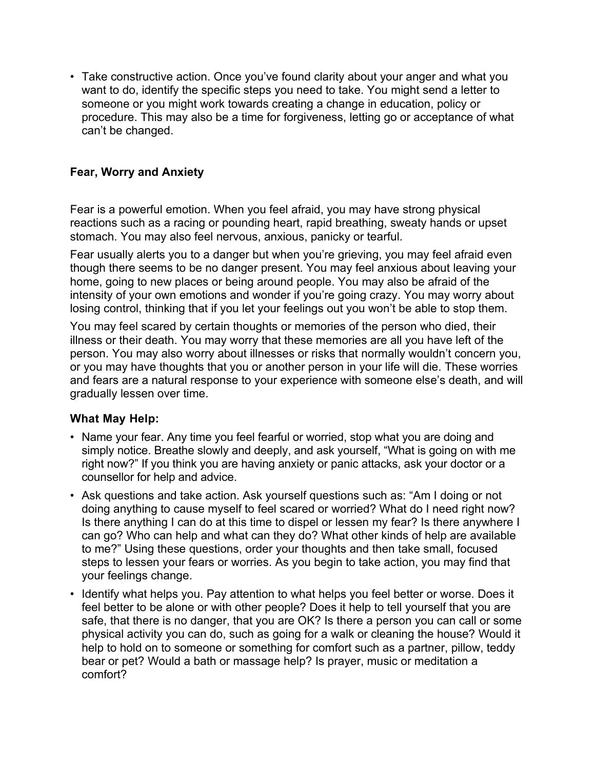• Take constructive action. Once you've found clarity about your anger and what you want to do, identify the specific steps you need to take. You might send a letter to someone or you might work towards creating a change in education, policy or procedure. This may also be a time for forgiveness, letting go or acceptance of what can't be changed.

# **Fear, Worry and Anxiety**

Fear is a powerful emotion. When you feel afraid, you may have strong physical reactions such as a racing or pounding heart, rapid breathing, sweaty hands or upset stomach. You may also feel nervous, anxious, panicky or tearful.

Fear usually alerts you to a danger but when you're grieving, you may feel afraid even though there seems to be no danger present. You may feel anxious about leaving your home, going to new places or being around people. You may also be afraid of the intensity of your own emotions and wonder if you're going crazy. You may worry about losing control, thinking that if you let your feelings out you won't be able to stop them.

You may feel scared by certain thoughts or memories of the person who died, their illness or their death. You may worry that these memories are all you have left of the person. You may also worry about illnesses or risks that normally wouldn't concern you, or you may have thoughts that you or another person in your life will die. These worries and fears are a natural response to your experience with someone else's death, and will gradually lessen over time.

#### **What May Help:**

- Name your fear. Any time you feel fearful or worried, stop what you are doing and simply notice. Breathe slowly and deeply, and ask yourself, "What is going on with me right now?" If you think you are having anxiety or panic attacks, ask your doctor or a counsellor for help and advice.
- Ask questions and take action. Ask yourself questions such as: "Am I doing or not doing anything to cause myself to feel scared or worried? What do I need right now? Is there anything I can do at this time to dispel or lessen my fear? Is there anywhere I can go? Who can help and what can they do? What other kinds of help are available to me?" Using these questions, order your thoughts and then take small, focused steps to lessen your fears or worries. As you begin to take action, you may find that your feelings change.
- Identify what helps you. Pay attention to what helps you feel better or worse. Does it feel better to be alone or with other people? Does it help to tell yourself that you are safe, that there is no danger, that you are OK? Is there a person you can call or some physical activity you can do, such as going for a walk or cleaning the house? Would it help to hold on to someone or something for comfort such as a partner, pillow, teddy bear or pet? Would a bath or massage help? Is prayer, music or meditation a comfort?